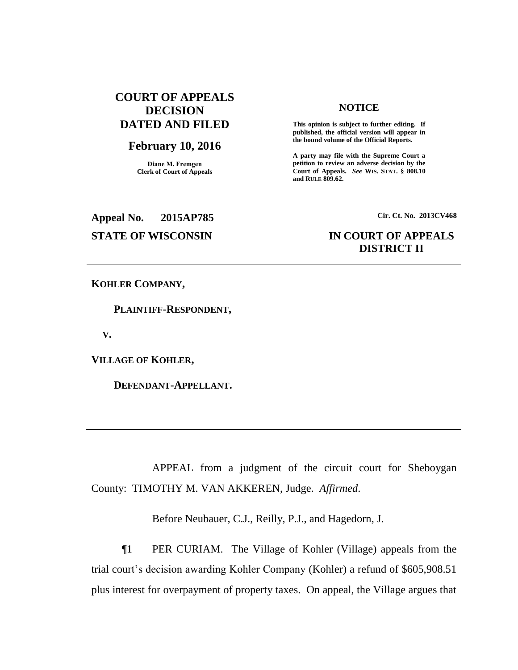# **COURT OF APPEALS DECISION DATED AND FILED**

## **February 10, 2016**

**Diane M. Fremgen Clerk of Court of Appeals**

### **NOTICE**

**This opinion is subject to further editing. If published, the official version will appear in the bound volume of the Official Reports.** 

**A party may file with the Supreme Court a petition to review an adverse decision by the Court of Appeals.** *See* **WIS. STAT. § 808.10 and RULE 809.62.** 

**Appeal No. 2015AP785 Cir. Ct. No. 2013CV468**

# **STATE OF WISCONSIN IN COURT OF APPEALS DISTRICT II**

**KOHLER COMPANY,**

 **PLAINTIFF-RESPONDENT,**

 **V.**

**VILLAGE OF KOHLER,**

 **DEFENDANT-APPELLANT.**

APPEAL from a judgment of the circuit court for Sheboygan County: TIMOTHY M. VAN AKKEREN, Judge. *Affirmed*.

Before Neubauer, C.J., Reilly, P.J., and Hagedorn, J.

¶1 PER CURIAM. The Village of Kohler (Village) appeals from the trial court's decision awarding Kohler Company (Kohler) a refund of \$605,908.51 plus interest for overpayment of property taxes. On appeal, the Village argues that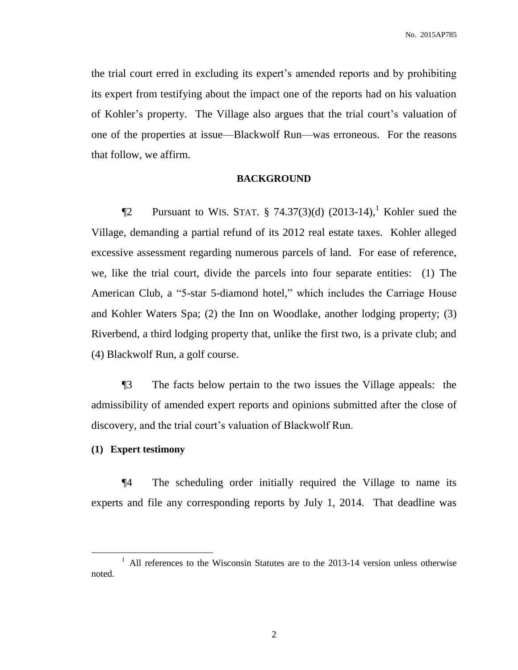the trial court erred in excluding its expert's amended reports and by prohibiting its expert from testifying about the impact one of the reports had on his valuation of Kohler's property. The Village also argues that the trial court's valuation of one of the properties at issue—Blackwolf Run—was erroneous. For the reasons that follow, we affirm.

#### **BACKGROUND**

**The Pursuant to WIS. STAT.** § 74.37(3)(d)  $(2013-14)$ , Kohler sued the Village, demanding a partial refund of its 2012 real estate taxes. Kohler alleged excessive assessment regarding numerous parcels of land. For ease of reference, we, like the trial court, divide the parcels into four separate entities: (1) The American Club, a "5-star 5-diamond hotel," which includes the Carriage House and Kohler Waters Spa; (2) the Inn on Woodlake, another lodging property; (3) Riverbend, a third lodging property that, unlike the first two, is a private club; and (4) Blackwolf Run, a golf course.

¶3 The facts below pertain to the two issues the Village appeals: the admissibility of amended expert reports and opinions submitted after the close of discovery, and the trial court's valuation of Blackwolf Run.

## **(1) Expert testimony**

 $\overline{a}$ 

¶4 The scheduling order initially required the Village to name its experts and file any corresponding reports by July 1, 2014. That deadline was

<sup>&</sup>lt;sup>1</sup> All references to the Wisconsin Statutes are to the 2013-14 version unless otherwise noted.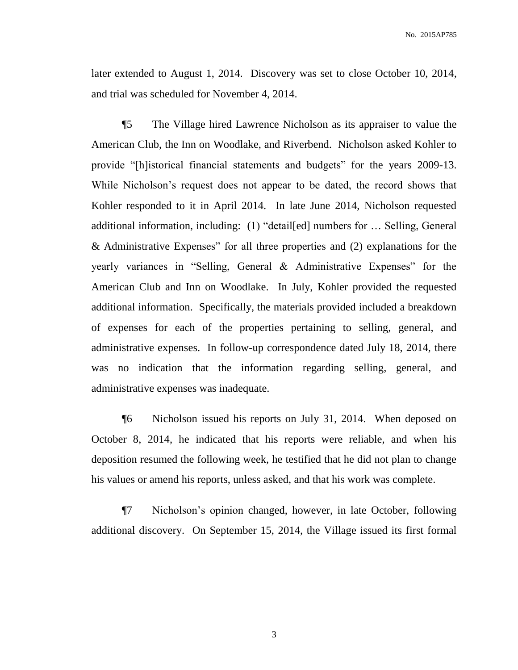No. 2015AP785

later extended to August 1, 2014. Discovery was set to close October 10, 2014, and trial was scheduled for November 4, 2014.

¶5 The Village hired Lawrence Nicholson as its appraiser to value the American Club, the Inn on Woodlake, and Riverbend. Nicholson asked Kohler to provide "[h]istorical financial statements and budgets" for the years 2009-13. While Nicholson's request does not appear to be dated, the record shows that Kohler responded to it in April 2014. In late June 2014, Nicholson requested additional information, including: (1) "detail[ed] numbers for … Selling, General & Administrative Expenses" for all three properties and (2) explanations for the yearly variances in "Selling, General & Administrative Expenses" for the American Club and Inn on Woodlake. In July, Kohler provided the requested additional information. Specifically, the materials provided included a breakdown of expenses for each of the properties pertaining to selling, general, and administrative expenses. In follow-up correspondence dated July 18, 2014, there was no indication that the information regarding selling, general, and administrative expenses was inadequate.

¶6 Nicholson issued his reports on July 31, 2014. When deposed on October 8, 2014, he indicated that his reports were reliable, and when his deposition resumed the following week, he testified that he did not plan to change his values or amend his reports, unless asked, and that his work was complete.

¶7 Nicholson's opinion changed, however, in late October, following additional discovery. On September 15, 2014, the Village issued its first formal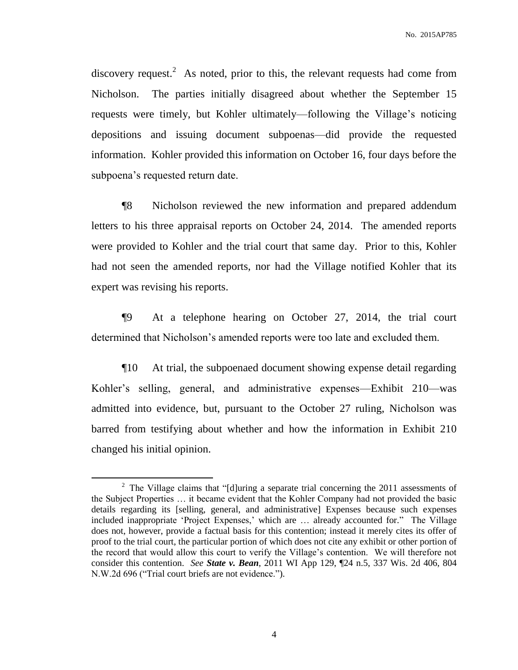discovery request.<sup>2</sup> As noted, prior to this, the relevant requests had come from Nicholson. The parties initially disagreed about whether the September 15 requests were timely, but Kohler ultimately—following the Village's noticing depositions and issuing document subpoenas—did provide the requested information. Kohler provided this information on October 16, four days before the subpoena's requested return date.

¶8 Nicholson reviewed the new information and prepared addendum letters to his three appraisal reports on October 24, 2014. The amended reports were provided to Kohler and the trial court that same day. Prior to this, Kohler had not seen the amended reports, nor had the Village notified Kohler that its expert was revising his reports.

¶9 At a telephone hearing on October 27, 2014, the trial court determined that Nicholson's amended reports were too late and excluded them.

¶10 At trial, the subpoenaed document showing expense detail regarding Kohler's selling, general, and administrative expenses—Exhibit 210—was admitted into evidence, but, pursuant to the October 27 ruling, Nicholson was barred from testifying about whether and how the information in Exhibit 210 changed his initial opinion.

 $\overline{a}$ 

<sup>&</sup>lt;sup>2</sup> The Village claims that "[d]uring a separate trial concerning the 2011 assessments of the Subject Properties … it became evident that the Kohler Company had not provided the basic details regarding its [selling, general, and administrative] Expenses because such expenses included inappropriate 'Project Expenses,' which are … already accounted for." The Village does not, however, provide a factual basis for this contention; instead it merely cites its offer of proof to the trial court, the particular portion of which does not cite any exhibit or other portion of the record that would allow this court to verify the Village's contention. We will therefore not consider this contention. *See State v. Bean*, 2011 WI App 129, ¶24 n.5, 337 Wis. 2d 406, 804 N.W.2d 696 ("Trial court briefs are not evidence.").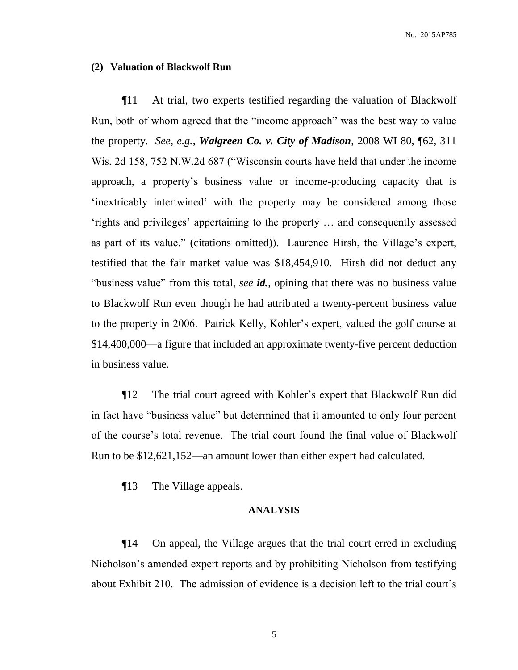No. 2015AP785

#### **(2) Valuation of Blackwolf Run**

¶11 At trial, two experts testified regarding the valuation of Blackwolf Run, both of whom agreed that the "income approach" was the best way to value the property. *See, e.g.*, *Walgreen Co. v. City of Madison*, 2008 WI 80, ¶62, 311 Wis. 2d 158, 752 N.W.2d 687 ("Wisconsin courts have held that under the income approach, a property's business value or income-producing capacity that is 'inextricably intertwined' with the property may be considered among those 'rights and privileges' appertaining to the property … and consequently assessed as part of its value." (citations omitted)). Laurence Hirsh, the Village's expert, testified that the fair market value was \$18,454,910. Hirsh did not deduct any "business value" from this total, *see id.*, opining that there was no business value to Blackwolf Run even though he had attributed a twenty-percent business value to the property in 2006. Patrick Kelly, Kohler's expert, valued the golf course at \$14,400,000—a figure that included an approximate twenty-five percent deduction in business value.

¶12 The trial court agreed with Kohler's expert that Blackwolf Run did in fact have "business value" but determined that it amounted to only four percent of the course's total revenue. The trial court found the final value of Blackwolf Run to be \$12,621,152—an amount lower than either expert had calculated.

¶13 The Village appeals.

### **ANALYSIS**

¶14 On appeal, the Village argues that the trial court erred in excluding Nicholson's amended expert reports and by prohibiting Nicholson from testifying about Exhibit 210. The admission of evidence is a decision left to the trial court's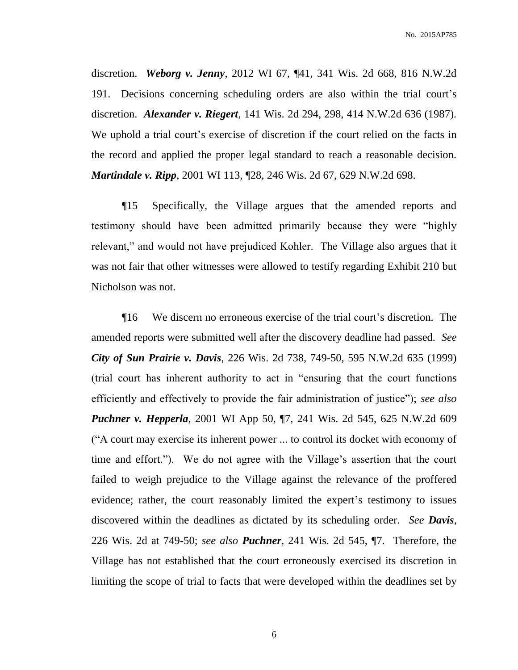discretion. *Weborg v. Jenny*, 2012 WI 67, ¶41, 341 Wis. 2d 668, 816 N.W.2d 191. Decisions concerning scheduling orders are also within the trial court's discretion. *Alexander v. Riegert*, 141 Wis. 2d 294, 298, 414 N.W.2d 636 (1987). We uphold a trial court's exercise of discretion if the court relied on the facts in the record and applied the proper legal standard to reach a reasonable decision. *Martindale v. Ripp*, 2001 WI 113, ¶28, 246 Wis. 2d 67, 629 N.W.2d 698.

¶15 Specifically, the Village argues that the amended reports and testimony should have been admitted primarily because they were "highly relevant," and would not have prejudiced Kohler. The Village also argues that it was not fair that other witnesses were allowed to testify regarding Exhibit 210 but Nicholson was not.

¶16 We discern no erroneous exercise of the trial court's discretion. The amended reports were submitted well after the discovery deadline had passed. *See City of Sun Prairie v. Davis*, 226 Wis. 2d 738, 749-50, 595 N.W.2d 635 (1999) (trial court has inherent authority to act in "ensuring that the court functions efficiently and effectively to provide the fair administration of justice"); *see also Puchner v. Hepperla*, 2001 WI App 50, ¶7, 241 Wis. 2d 545, 625 N.W.2d 609 ("A court may exercise its inherent power ... to control its docket with economy of time and effort."). We do not agree with the Village's assertion that the court failed to weigh prejudice to the Village against the relevance of the proffered evidence; rather, the court reasonably limited the expert's testimony to issues discovered within the deadlines as dictated by its scheduling order. *See Davis*, 226 Wis. 2d at 749-50; *see also Puchner*, 241 Wis. 2d 545, ¶7. Therefore, the Village has not established that the court erroneously exercised its discretion in limiting the scope of trial to facts that were developed within the deadlines set by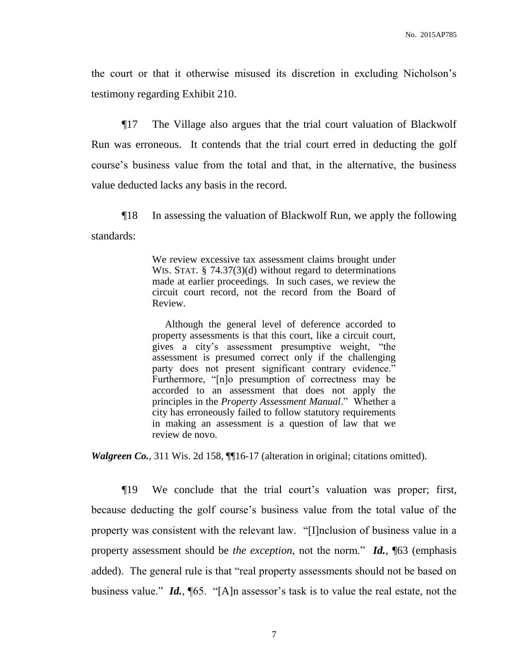the court or that it otherwise misused its discretion in excluding Nicholson's testimony regarding Exhibit 210.

¶17 The Village also argues that the trial court valuation of Blackwolf Run was erroneous. It contends that the trial court erred in deducting the golf course's business value from the total and that, in the alternative, the business value deducted lacks any basis in the record.

¶18 In assessing the valuation of Blackwolf Run, we apply the following standards:

> We review excessive tax assessment claims brought under WIS. STAT. § 74.37(3)(d) without regard to determinations made at earlier proceedings. In such cases, we review the circuit court record, not the record from the Board of Review.

> Although the general level of deference accorded to property assessments is that this court, like a circuit court, gives a city's assessment presumptive weight, "the assessment is presumed correct only if the challenging party does not present significant contrary evidence." Furthermore, "[n]o presumption of correctness may be accorded to an assessment that does not apply the principles in the *Property Assessment Manual*." Whether a city has erroneously failed to follow statutory requirements in making an assessment is a question of law that we review de novo.

*Walgreen Co.*, 311 Wis. 2d 158, ¶[16-17 (alteration in original; citations omitted).

¶19 We conclude that the trial court's valuation was proper; first, because deducting the golf course's business value from the total value of the property was consistent with the relevant law. "[I]nclusion of business value in a property assessment should be *the exception*, not the norm." *Id.*, ¶63 (emphasis added). The general rule is that "real property assessments should not be based on business value." *Id.*, ¶65. "[A]n assessor's task is to value the real estate, not the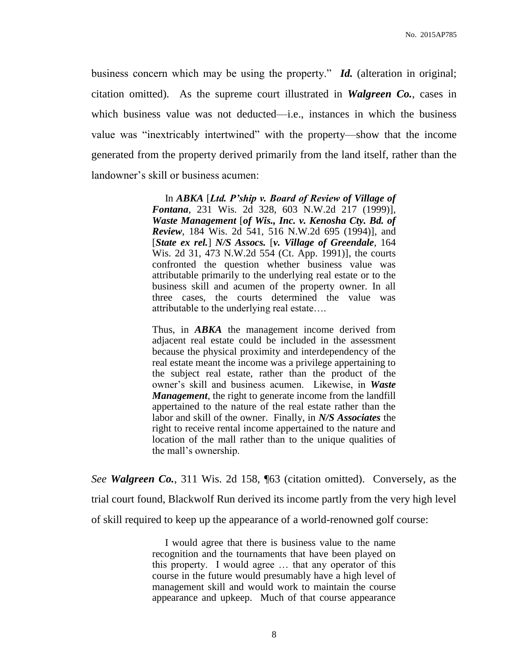business concern which may be using the property." *Id.* (alteration in original; citation omitted). As the supreme court illustrated in *Walgreen Co.*, cases in which business value was not deducted—i.e., instances in which the business value was "inextricably intertwined" with the property—show that the income generated from the property derived primarily from the land itself, rather than the landowner's skill or business acumen:

> In *ABKA* [*Ltd. P'ship v. Board of Review of Village of Fontana*, 231 Wis. 2d 328, 603 N.W.2d 217 (1999)], *Waste Management* [*of Wis., Inc. v. Kenosha Cty. Bd. of Review*, 184 Wis. 2d 541, 516 N.W.2d 695 (1994)], and [*State ex rel.*] *N/S Assocs.* [*v. Village of Greendale*, 164 Wis. 2d 31, 473 N.W.2d 554 (Ct. App. 1991)], the courts confronted the question whether business value was attributable primarily to the underlying real estate or to the business skill and acumen of the property owner. In all three cases, the courts determined the value was attributable to the underlying real estate….

> Thus, in *ABKA* the management income derived from adjacent real estate could be included in the assessment because the physical proximity and interdependency of the real estate meant the income was a privilege appertaining to the subject real estate, rather than the product of the owner's skill and business acumen. Likewise, in *Waste Management*, the right to generate income from the landfill appertained to the nature of the real estate rather than the labor and skill of the owner. Finally, in *N/S Associates* the right to receive rental income appertained to the nature and location of the mall rather than to the unique qualities of the mall's ownership.

*See Walgreen Co.*, 311 Wis. 2d 158, ¶63 (citation omitted). Conversely, as the trial court found, Blackwolf Run derived its income partly from the very high level of skill required to keep up the appearance of a world-renowned golf course:

> I would agree that there is business value to the name recognition and the tournaments that have been played on this property. I would agree … that any operator of this course in the future would presumably have a high level of management skill and would work to maintain the course appearance and upkeep. Much of that course appearance